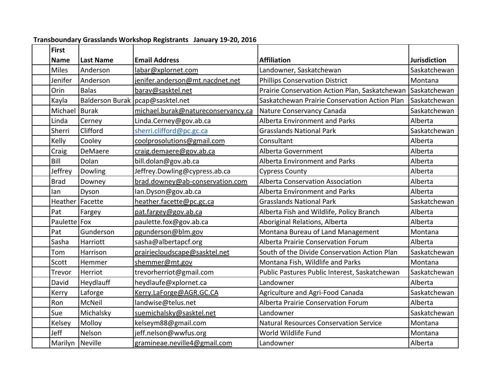| Transboundary Grasslands Workshop Registrants January 19-20, 2016 |                   |                  |                                    |                                                             |                     |  |  |  |  |
|-------------------------------------------------------------------|-------------------|------------------|------------------------------------|-------------------------------------------------------------|---------------------|--|--|--|--|
|                                                                   | <b>First</b>      |                  |                                    |                                                             |                     |  |  |  |  |
|                                                                   | <b>Name</b>       | <b>Last Name</b> | <b>Email Address</b>               | <b>Affiliation</b>                                          | <b>Jurisdiction</b> |  |  |  |  |
|                                                                   | <b>Miles</b>      | Anderson         | labar@xplornet.com                 | Landowner, Saskatchewan                                     | Saskatchewan        |  |  |  |  |
|                                                                   | Jenifer           | Anderson         | jenifer.anderson@mt.nacdnet.net    | <b>Phillips Conservation District</b>                       | Montana             |  |  |  |  |
|                                                                   | Orin              | <b>Balas</b>     | barav@sasktel.net                  | Prairie Conservation Action Plan, Saskatchewan Saskatchewan |                     |  |  |  |  |
|                                                                   | Kayla             |                  | Balderson Burak   pcap@sasktel.net | Saskatchewan Prairie Conservation Action Plan               | Saskatchewan        |  |  |  |  |
|                                                                   | Michael           | <b>Burak</b>     | michael.burak@natureconservancy.ca | Nature Conservancy Canada                                   | Saskatchewan        |  |  |  |  |
|                                                                   | Linda             | Cerney           | Linda.Cerney@gov.ab.ca             | Alberta Environment and Parks                               | Alberta             |  |  |  |  |
|                                                                   | Sherri            | Clifford         | sherri.clifford@pc.gc.ca           | <b>Grasslands National Park</b>                             | Saskatchewan        |  |  |  |  |
|                                                                   | Kelly             | Cooley           | coolprosolutions@gmail.com         | Consultant                                                  | Alberta             |  |  |  |  |
|                                                                   | Craig             | DeMaere          | craig.demaere@gov.ab.ca            | Alberta Government                                          | Alberta             |  |  |  |  |
|                                                                   | Bill              | Dolan            | bill.dolan@gov.ab.ca               | Alberta Environment and Parks                               | Alberta             |  |  |  |  |
|                                                                   | Jeffrey           | Dowling          | Jeffrey.Dowling@cypress.ab.ca      | <b>Cypress County</b>                                       | Alberta             |  |  |  |  |
|                                                                   | <b>Brad</b>       | Downey           | brad.downey@ab-conservation.com    | <b>Alberta Conservation Association</b>                     | Alberta             |  |  |  |  |
|                                                                   | lan               | Dyson            | lan.Dyson@gov.ab.ca                | <b>Alberta Environment and Parks</b>                        | Alberta             |  |  |  |  |
|                                                                   | Heather   Facette |                  | heather.facette@pc.gc.ca           | <b>Grasslands National Park</b>                             | Saskatchewan        |  |  |  |  |
|                                                                   | Pat               | Fargey           | pat.fargey@gov.ab.ca               | Alberta Fish and Wildlife, Policy Branch                    | Alberta             |  |  |  |  |
|                                                                   | Paulette   Fox    |                  | paulette.fox@gov.ab.ca             | Aboriginal Relations, Alberta                               | Alberta             |  |  |  |  |
|                                                                   | Pat               | Gunderson        | pgunderson@blm.gov                 | Montana Bureau of Land Management                           | Montana             |  |  |  |  |
|                                                                   | Sasha             | Harriott         | sasha@albertapcf.org               | Alberta Prairie Conservation Forum                          | Alberta             |  |  |  |  |
|                                                                   | Tom               | Harrison         | prairiecloudscape@sasktel.net      | South of the Divide Conservation Action Plan                | Saskatchewan        |  |  |  |  |
|                                                                   | Scott             | Hemmer           | shemmer@mt.gov                     | Montana Fish, Wildlife and Parks                            | Montana             |  |  |  |  |
|                                                                   | Trevor            | Herriot          | trevorherriot@gmail.com            | Public Pastures Public Interest, Saskatchewan               | Saskatchewan        |  |  |  |  |
|                                                                   | David             | Heydlauff        | heydlaufe@xplornet.ca              | Landowner                                                   | Alberta             |  |  |  |  |
|                                                                   | Kerry             | Laforge          | Kerry.LaForge@AGR.GC.CA            | Agriculture and Agri-Food Canada                            | Saskatchewan        |  |  |  |  |
|                                                                   | Ron               | <b>McNeil</b>    | landwise@telus.net                 | Alberta Prairie Conservation Forum                          | Alberta             |  |  |  |  |
|                                                                   | Sue               | Michalsky        | suemichalsky@sasktel.net           | Landowner                                                   | Saskatchewan        |  |  |  |  |
|                                                                   | Kelsey            | Molloy           | kelseym88@gmail.com                | <b>Natural Resources Conservation Service</b>               | Montana             |  |  |  |  |
|                                                                   | Jeff              | Nelson           | jeff.nelson@wwfus.org              | World Wildlife Fund                                         | Montana             |  |  |  |  |
|                                                                   | Marilyn Neville   |                  | gramineae.neville4@gmail.com       | Landowner                                                   | Alberta             |  |  |  |  |